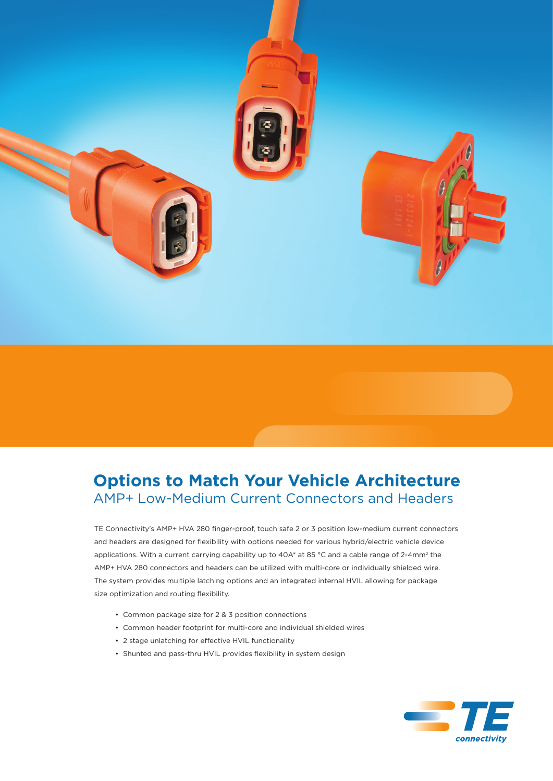

# **Options to Match Your Vehicle Architecture** AMP+ Low-Medium Current Connectors and Headers

TE Connectivity's AMP+ HVA 280 finger-proof, touch safe 2 or 3 position low-medium current connectors and headers are designed for flexibility with options needed for various hybrid/electric vehicle device applications. With a current carrying capability up to 40A\* at 85 °C and a cable range of 2-4mm<sup>2</sup> the AMP+ HVA 280 connectors and headers can be utilized with multi-core or individually shielded wire. The system provides multiple latching options and an integrated internal HVIL allowing for package size optimization and routing flexibility.

- Common package size for 2 & 3 position connections
- Common header footprint for multi-core and individual shielded wires
- 2 stage unlatching for effective HVIL functionality
- Shunted and pass-thru HVIL provides flexibility in system design